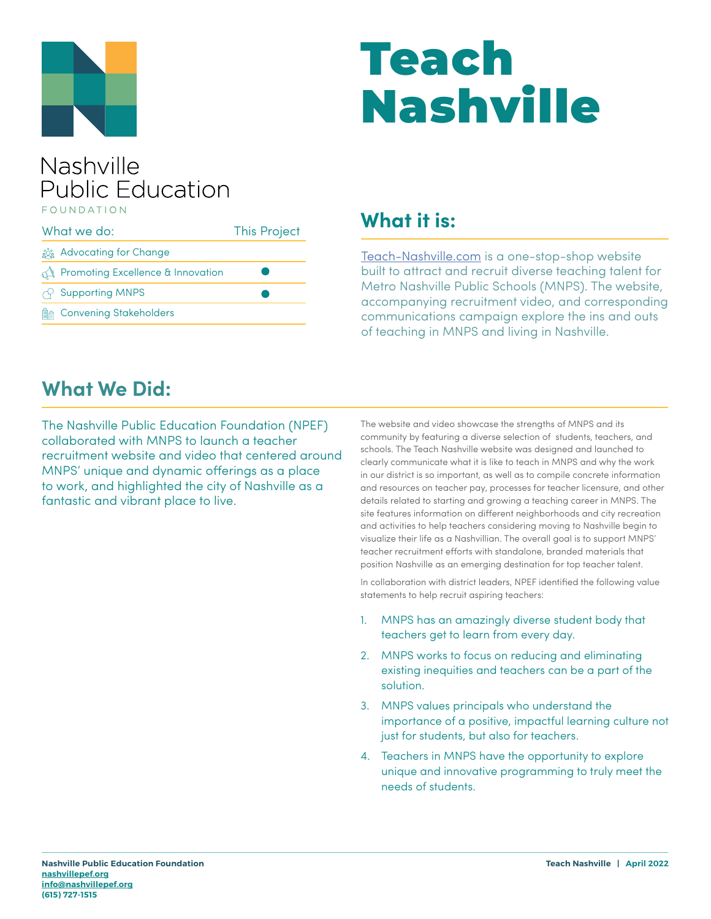

# Teach Nashville

#### Nashville **Public Education** FOUNDATION

| What we do: |                                    | <b>This Project</b> |
|-------------|------------------------------------|---------------------|
|             | the good Advocating for Change     |                     |
|             | Promoting Excellence & Innovation  |                     |
|             | $\sqrt{2}$ Supporting MNPS         |                     |
|             | <b>Mand Convening Stakeholders</b> |                     |

### **What it is:**

[Teach-Nashville.com](https://www.teach-nashville.com/) is a one-stop-shop website built to attract and recruit diverse teaching talent for Metro Nashville Public Schools (MNPS). The website, accompanying recruitment video, and corresponding communications campaign explore the ins and outs of teaching in MNPS and living in Nashville.

#### **What We Did:**

The Nashville Public Education Foundation (NPEF) collaborated with MNPS to launch a teacher recruitment website and video that centered around MNPS' unique and dynamic offerings as a place to work, and highlighted the city of Nashville as a fantastic and vibrant place to live.

The website and video showcase the strengths of MNPS and its community by featuring a diverse selection of students, teachers, and schools. The Teach Nashville website was designed and launched to clearly communicate what it is like to teach in MNPS and why the work in our district is so important, as well as to compile concrete information and resources on teacher pay, processes for teacher licensure, and other details related to starting and growing a teaching career in MNPS. The site features information on different neighborhoods and city recreation and activities to help teachers considering moving to Nashville begin to visualize their life as a Nashvillian. The overall goal is to support MNPS' teacher recruitment efforts with standalone, branded materials that position Nashville as an emerging destination for top teacher talent.

In collaboration with district leaders, NPEF identified the following value statements to help recruit aspiring teachers:

- 1. MNPS has an amazingly diverse student body that teachers get to learn from every day.
- 2. MNPS works to focus on reducing and eliminating existing inequities and teachers can be a part of the solution.
- 3. MNPS values principals who understand the importance of a positive, impactful learning culture not just for students, but also for teachers.
- 4. Teachers in MNPS have the opportunity to explore unique and innovative programming to truly meet the needs of students.